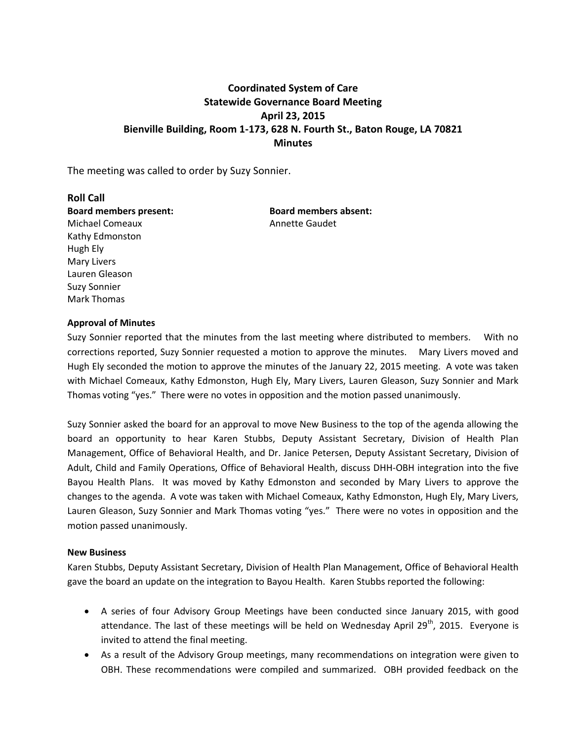# **Coordinated System of Care Statewide Governance Board Meeting April 23, 2015 Bienville Building, Room 1-173, 628 N. Fourth St., Baton Rouge, LA 70821 Minutes**

The meeting was called to order by Suzy Sonnier.

**Roll Call Board members present: Board members absent:**  Michael Comeaux **Annette Gaudet** Kathy Edmonston Hugh Ely Mary Livers Lauren Gleason Suzy Sonnier Mark Thomas

# **Approval of Minutes**

Suzy Sonnier reported that the minutes from the last meeting where distributed to members. With no corrections reported, Suzy Sonnier requested a motion to approve the minutes. Mary Livers moved and Hugh Ely seconded the motion to approve the minutes of the January 22, 2015 meeting. A vote was taken with Michael Comeaux, Kathy Edmonston, Hugh Ely, Mary Livers, Lauren Gleason, Suzy Sonnier and Mark Thomas voting "yes." There were no votes in opposition and the motion passed unanimously.

Suzy Sonnier asked the board for an approval to move New Business to the top of the agenda allowing the board an opportunity to hear Karen Stubbs, Deputy Assistant Secretary, Division of Health Plan Management, Office of Behavioral Health, and Dr. Janice Petersen, Deputy Assistant Secretary, Division of Adult, Child and Family Operations, Office of Behavioral Health, discuss DHH-OBH integration into the five Bayou Health Plans. It was moved by Kathy Edmonston and seconded by Mary Livers to approve the changes to the agenda. A vote was taken with Michael Comeaux, Kathy Edmonston, Hugh Ely, Mary Livers, Lauren Gleason, Suzy Sonnier and Mark Thomas voting "yes." There were no votes in opposition and the motion passed unanimously.

### **New Business**

Karen Stubbs, Deputy Assistant Secretary, Division of Health Plan Management, Office of Behavioral Health gave the board an update on the integration to Bayou Health. Karen Stubbs reported the following:

- A series of four Advisory Group Meetings have been conducted since January 2015, with good attendance. The last of these meetings will be held on Wednesday April  $29<sup>th</sup>$ , 2015. Everyone is invited to attend the final meeting.
- As a result of the Advisory Group meetings, many recommendations on integration were given to OBH. These recommendations were compiled and summarized. OBH provided feedback on the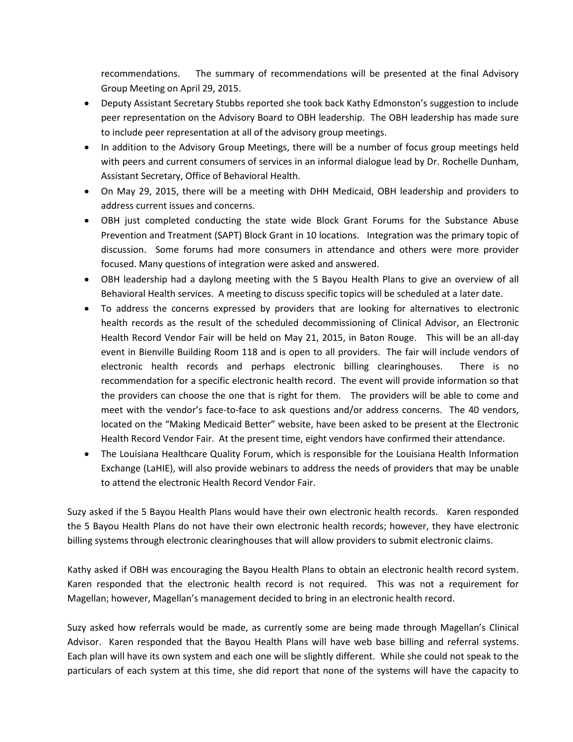recommendations. The summary of recommendations will be presented at the final Advisory Group Meeting on April 29, 2015.

- Deputy Assistant Secretary Stubbs reported she took back Kathy Edmonston's suggestion to include peer representation on the Advisory Board to OBH leadership. The OBH leadership has made sure to include peer representation at all of the advisory group meetings.
- In addition to the Advisory Group Meetings, there will be a number of focus group meetings held with peers and current consumers of services in an informal dialogue lead by Dr. Rochelle Dunham, Assistant Secretary, Office of Behavioral Health.
- On May 29, 2015, there will be a meeting with DHH Medicaid, OBH leadership and providers to address current issues and concerns.
- OBH just completed conducting the state wide Block Grant Forums for the Substance Abuse Prevention and Treatment (SAPT) Block Grant in 10 locations. Integration was the primary topic of discussion. Some forums had more consumers in attendance and others were more provider focused. Many questions of integration were asked and answered.
- OBH leadership had a daylong meeting with the 5 Bayou Health Plans to give an overview of all Behavioral Health services. A meeting to discuss specific topics will be scheduled at a later date.
- To address the concerns expressed by providers that are looking for alternatives to electronic health records as the result of the scheduled decommissioning of Clinical Advisor, an Electronic Health Record Vendor Fair will be held on May 21, 2015, in Baton Rouge. This will be an all-day event in Bienville Building Room 118 and is open to all providers. The fair will include vendors of electronic health records and perhaps electronic billing clearinghouses. There is no recommendation for a specific electronic health record. The event will provide information so that the providers can choose the one that is right for them. The providers will be able to come and meet with the vendor's face-to-face to ask questions and/or address concerns. The 40 vendors, located on the "Making Medicaid Better" website, have been asked to be present at the Electronic Health Record Vendor Fair. At the present time, eight vendors have confirmed their attendance.
- The Louisiana Healthcare Quality Forum, which is responsible for the Louisiana Health Information Exchange (LaHIE), will also provide webinars to address the needs of providers that may be unable to attend the electronic Health Record Vendor Fair.

Suzy asked if the 5 Bayou Health Plans would have their own electronic health records. Karen responded the 5 Bayou Health Plans do not have their own electronic health records; however, they have electronic billing systems through electronic clearinghouses that will allow providers to submit electronic claims.

Kathy asked if OBH was encouraging the Bayou Health Plans to obtain an electronic health record system. Karen responded that the electronic health record is not required. This was not a requirement for Magellan; however, Magellan's management decided to bring in an electronic health record.

Suzy asked how referrals would be made, as currently some are being made through Magellan's Clinical Advisor. Karen responded that the Bayou Health Plans will have web base billing and referral systems. Each plan will have its own system and each one will be slightly different. While she could not speak to the particulars of each system at this time, she did report that none of the systems will have the capacity to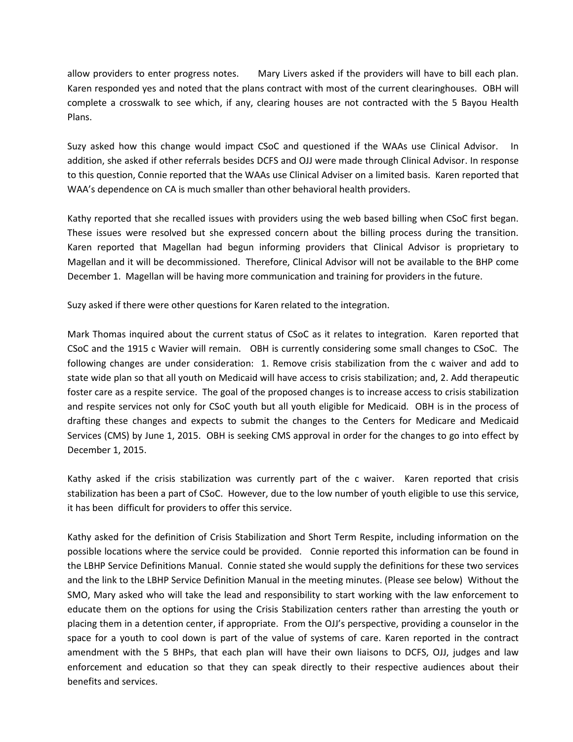allow providers to enter progress notes. Mary Livers asked if the providers will have to bill each plan. Karen responded yes and noted that the plans contract with most of the current clearinghouses. OBH will complete a crosswalk to see which, if any, clearing houses are not contracted with the 5 Bayou Health Plans.

Suzy asked how this change would impact CSoC and questioned if the WAAs use Clinical Advisor. In addition, she asked if other referrals besides DCFS and OJJ were made through Clinical Advisor. In response to this question, Connie reported that the WAAs use Clinical Adviser on a limited basis. Karen reported that WAA's dependence on CA is much smaller than other behavioral health providers.

Kathy reported that she recalled issues with providers using the web based billing when CSoC first began. These issues were resolved but she expressed concern about the billing process during the transition. Karen reported that Magellan had begun informing providers that Clinical Advisor is proprietary to Magellan and it will be decommissioned. Therefore, Clinical Advisor will not be available to the BHP come December 1. Magellan will be having more communication and training for providers in the future.

Suzy asked if there were other questions for Karen related to the integration.

Mark Thomas inquired about the current status of CSoC as it relates to integration. Karen reported that CSoC and the 1915 c Wavier will remain. OBH is currently considering some small changes to CSoC. The following changes are under consideration: 1. Remove crisis stabilization from the c waiver and add to state wide plan so that all youth on Medicaid will have access to crisis stabilization; and, 2. Add therapeutic foster care as a respite service. The goal of the proposed changes is to increase access to crisis stabilization and respite services not only for CSoC youth but all youth eligible for Medicaid. OBH is in the process of drafting these changes and expects to submit the changes to the Centers for Medicare and Medicaid Services (CMS) by June 1, 2015. OBH is seeking CMS approval in order for the changes to go into effect by December 1, 2015.

Kathy asked if the crisis stabilization was currently part of the c waiver. Karen reported that crisis stabilization has been a part of CSoC. However, due to the low number of youth eligible to use this service, it has been difficult for providers to offer this service.

Kathy asked for the definition of Crisis Stabilization and Short Term Respite, including information on the possible locations where the service could be provided. Connie reported this information can be found in the LBHP Service Definitions Manual. Connie stated she would supply the definitions for these two services and the link to the LBHP Service Definition Manual in the meeting minutes. (Please see below) Without the SMO, Mary asked who will take the lead and responsibility to start working with the law enforcement to educate them on the options for using the Crisis Stabilization centers rather than arresting the youth or placing them in a detention center, if appropriate. From the OJJ's perspective, providing a counselor in the space for a youth to cool down is part of the value of systems of care. Karen reported in the contract amendment with the 5 BHPs, that each plan will have their own liaisons to DCFS, OJJ, judges and law enforcement and education so that they can speak directly to their respective audiences about their benefits and services.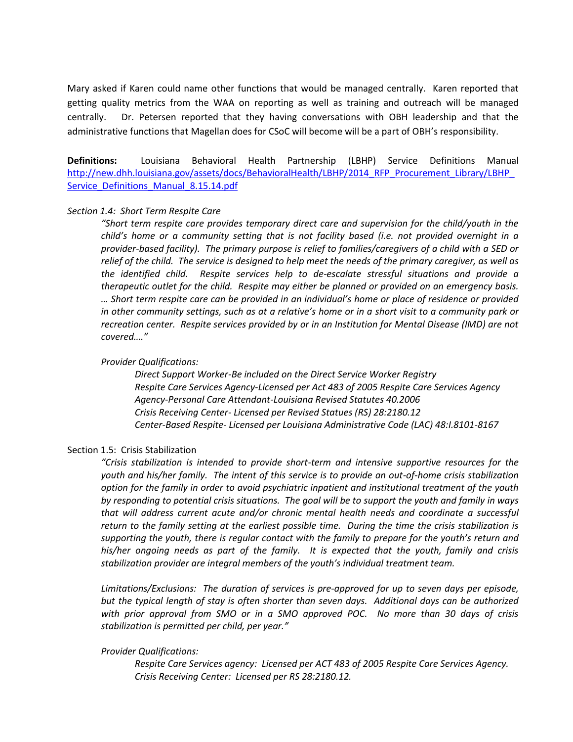Mary asked if Karen could name other functions that would be managed centrally. Karen reported that getting quality metrics from the WAA on reporting as well as training and outreach will be managed centrally. Dr. Petersen reported that they having conversations with OBH leadership and that the administrative functions that Magellan does for CSoC will become will be a part of OBH's responsibility.

**Definitions:** Louisiana Behavioral Health Partnership (LBHP) Service Definitions Manual [http://new.dhh.louisiana.gov/assets/docs/BehavioralHealth/LBHP/2014\\_RFP\\_Procurement\\_Library/LBHP\\_](http://new.dhh.louisiana.gov/assets/docs/BehavioralHealth/LBHP/2014_RFP_Procurement_Library/LBHP_Service_Definitions_Manual_8.15.14.pdf) Service Definitions Manual 8.15.14.pdf

### *Section 1.4: Short Term Respite Care*

*"Short term respite care provides temporary direct care and supervision for the child/youth in the child's home or a community setting that is not facility based (i.e. not provided overnight in a provider-based facility). The primary purpose is relief to families/caregivers of a child with a SED or relief of the child. The service is designed to help meet the needs of the primary caregiver, as well as the identified child. Respite services help to de-escalate stressful situations and provide a therapeutic outlet for the child. Respite may either be planned or provided on an emergency basis. … Short term respite care can be provided in an individual's home or place of residence or provided in other community settings, such as at a relative's home or in a short visit to a community park or recreation center. Respite services provided by or in an Institution for Mental Disease (IMD) are not covered…."*

#### *Provider Qualifications:*

*Direct Support Worker-Be included on the Direct Service Worker Registry Respite Care Services Agency-Licensed per Act 483 of 2005 Respite Care Services Agency Agency-Personal Care Attendant-Louisiana Revised Statutes 40.2006 Crisis Receiving Center- Licensed per Revised Statues (RS) 28:2180.12 Center-Based Respite- Licensed per Louisiana Administrative Code (LAC) 48:I.8101-8167*

### Section 1.5: Crisis Stabilization

*"Crisis stabilization is intended to provide short-term and intensive supportive resources for the youth and his/her family. The intent of this service is to provide an out-of-home crisis stabilization option for the family in order to avoid psychiatric inpatient and institutional treatment of the youth by responding to potential crisis situations. The goal will be to support the youth and family in ways that will address current acute and/or chronic mental health needs and coordinate a successful return to the family setting at the earliest possible time. During the time the crisis stabilization is supporting the youth, there is regular contact with the family to prepare for the youth's return and his/her ongoing needs as part of the family. It is expected that the youth, family and crisis stabilization provider are integral members of the youth's individual treatment team.* 

*Limitations/Exclusions: The duration of services is pre-approved for up to seven days per episode, but the typical length of stay is often shorter than seven days. Additional days can be authorized with prior approval from SMO or in a SMO approved POC. No more than 30 days of crisis stabilization is permitted per child, per year."*

# *Provider Qualifications:*

*Respite Care Services agency: Licensed per ACT 483 of 2005 Respite Care Services Agency. Crisis Receiving Center: Licensed per RS 28:2180.12.*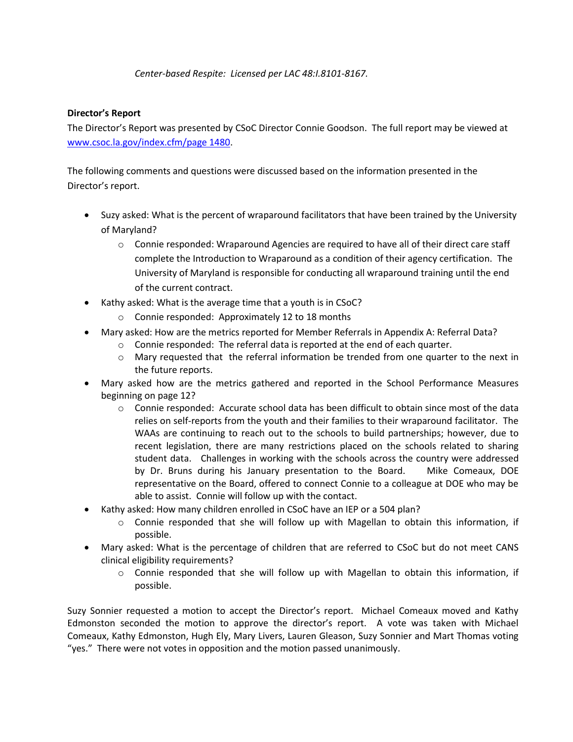# *Center-based Respite: Licensed per LAC 48:I.8101-8167.*

# **Director's Report**

The Director's Report was presented by CSoC Director Connie Goodson. The full report may be viewed at [www.csoc.la.gov/index.cfm/page 1480.](http://www.csoc.la.gov/index.cfm/page%201480)

The following comments and questions were discussed based on the information presented in the Director's report.

- Suzy asked: What is the percent of wraparound facilitators that have been trained by the University of Maryland?
	- $\circ$  Connie responded: Wraparound Agencies are required to have all of their direct care staff complete the Introduction to Wraparound as a condition of their agency certification. The University of Maryland is responsible for conducting all wraparound training until the end of the current contract.
- Kathy asked: What is the average time that a youth is in CSoC?
	- o Connie responded: Approximately 12 to 18 months
- Mary asked: How are the metrics reported for Member Referrals in Appendix A: Referral Data?
	- o Connie responded: The referral data is reported at the end of each quarter.
	- $\circ$  Mary requested that the referral information be trended from one quarter to the next in the future reports.
- Mary asked how are the metrics gathered and reported in the School Performance Measures beginning on page 12?
	- o Connie responded: Accurate school data has been difficult to obtain since most of the data relies on self-reports from the youth and their families to their wraparound facilitator. The WAAs are continuing to reach out to the schools to build partnerships; however, due to recent legislation, there are many restrictions placed on the schools related to sharing student data. Challenges in working with the schools across the country were addressed by Dr. Bruns during his January presentation to the Board. Mike Comeaux, DOE representative on the Board, offered to connect Connie to a colleague at DOE who may be able to assist. Connie will follow up with the contact.
- Kathy asked: How many children enrolled in CSoC have an IEP or a 504 plan?
	- $\circ$  Connie responded that she will follow up with Magellan to obtain this information, if possible.
- Mary asked: What is the percentage of children that are referred to CSoC but do not meet CANS clinical eligibility requirements?
	- $\circ$  Connie responded that she will follow up with Magellan to obtain this information, if possible.

Suzy Sonnier requested a motion to accept the Director's report. Michael Comeaux moved and Kathy Edmonston seconded the motion to approve the director's report. A vote was taken with Michael Comeaux, Kathy Edmonston, Hugh Ely, Mary Livers, Lauren Gleason, Suzy Sonnier and Mart Thomas voting "yes." There were not votes in opposition and the motion passed unanimously.